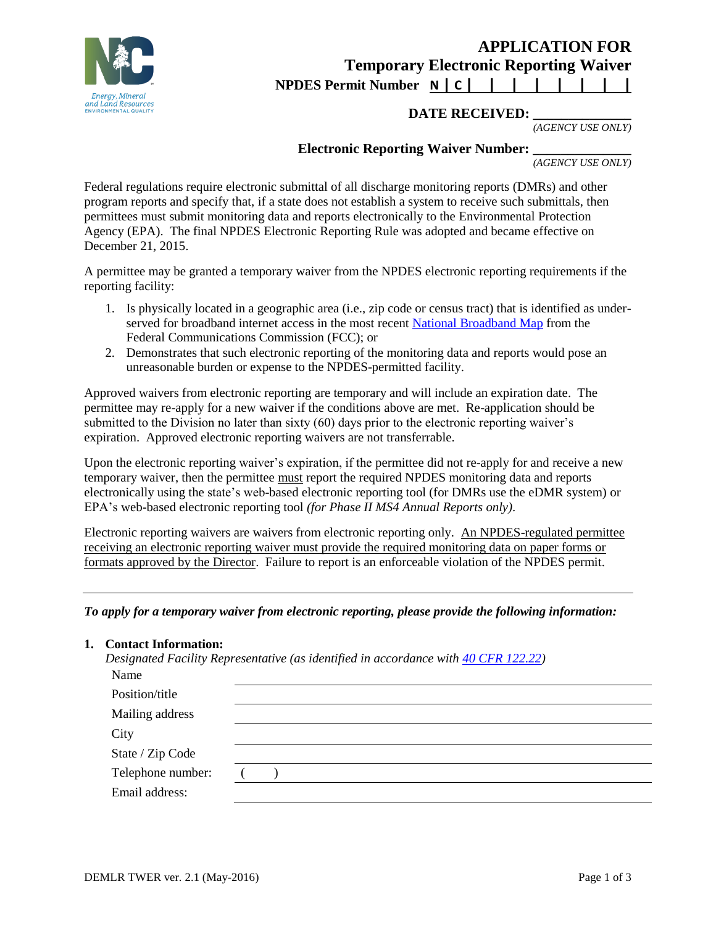

# **APPLICATION FOR Temporary Electronic Reporting Waiver NPDES Permit Number N | C | | | | | | | |**

# **DATE RECEIVED:**

*(AGENCY USE ONLY)*

# **Electronic Reporting Waiver Number:**

*(AGENCY USE ONLY)*

Federal regulations require electronic submittal of all discharge monitoring reports (DMRs) and other program reports and specify that, if a state does not establish a system to receive such submittals, then permittees must submit monitoring data and reports electronically to the Environmental Protection Agency (EPA). The final NPDES Electronic Reporting Rule was adopted and became effective on December 21, 2015.

A permittee may be granted a temporary waiver from the NPDES electronic reporting requirements if the reporting facility:

- 1. Is physically located in a geographic area (i.e., zip code or census tract) that is identified as underserved for broadband internet access in the most recent [National Broadband Map](http://www.broadbandmap.gov/) from the Federal Communications Commission (FCC); or
- 2. Demonstrates that such electronic reporting of the monitoring data and reports would pose an unreasonable burden or expense to the NPDES-permitted facility.

Approved waivers from electronic reporting are temporary and will include an expiration date. The permittee may re-apply for a new waiver if the conditions above are met. Re-application should be submitted to the Division no later than sixty (60) days prior to the electronic reporting waiver's expiration. Approved electronic reporting waivers are not transferrable.

Upon the electronic reporting waiver's expiration, if the permittee did not re-apply for and receive a new temporary waiver, then the permittee must report the required NPDES monitoring data and reports electronically using the state's web-based electronic reporting tool (for DMRs use the eDMR system) or EPA's web-based electronic reporting tool *(for Phase II MS4 Annual Reports only)*.

Electronic reporting waivers are waivers from electronic reporting only. An NPDES-regulated permittee receiving an electronic reporting waiver must provide the required monitoring data on paper forms or formats approved by the Director. Failure to report is an enforceable violation of the NPDES permit.

## *To apply for a temporary waiver from electronic reporting, please provide the following information:*

#### **1. Contact Information:**

*Designated Facility Representative (as identified in accordance with [40 CFR 122.22\)](http://www.ecfr.gov/cgi-bin/text-idx?c=ecfr&SID=2716429e1aaee5792307b789fcf33f29&rgn=div5&view=text&node=40:23.0.1.1.12&idno=40#40:23.0.1.1.12.2.6.2)*

| Name              |  |
|-------------------|--|
| Position/title    |  |
| Mailing address   |  |
| City              |  |
| State / Zip Code  |  |
| Telephone number: |  |
| Email address:    |  |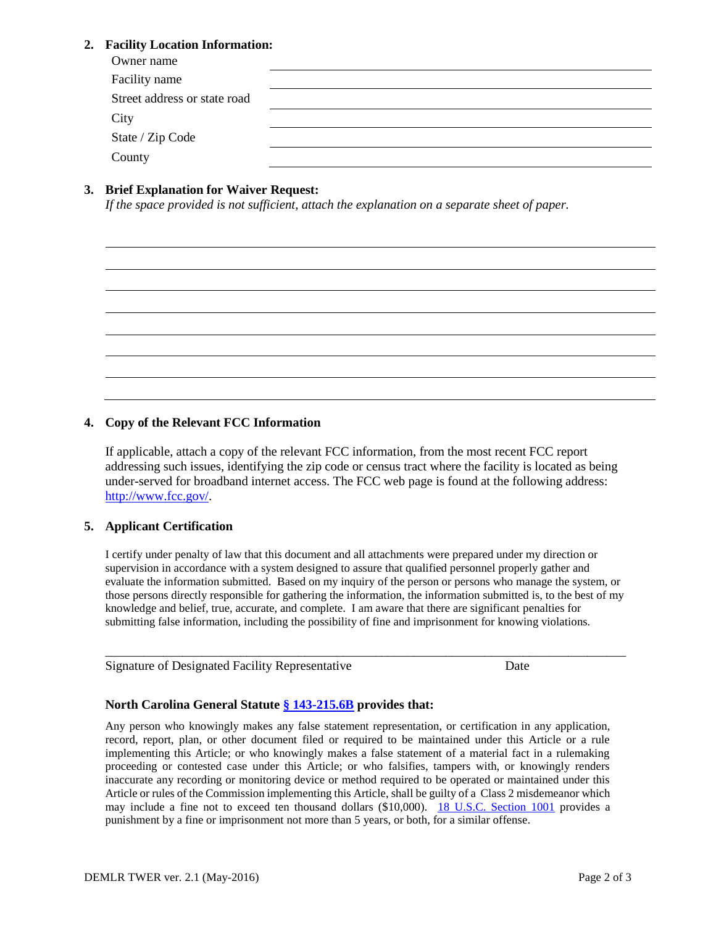## **2. Facility Location Information:**

| Owner name                   |  |
|------------------------------|--|
| Facility name                |  |
| Street address or state road |  |
| City                         |  |
| State / Zip Code             |  |
| County                       |  |

# **3. Brief Explanation for Waiver Request:**

*If the space provided is not sufficient, attach the explanation on a separate sheet of paper.*

#### **4. Copy of the Relevant FCC Information**

If applicable, attach a copy of the relevant FCC information, from the most recent FCC report addressing such issues, identifying the zip code or census tract where the facility is located as being under-served for broadband internet access. The FCC web page is found at the following address: [http://www.fcc.gov/.](http://www.fcc.gov/)

#### **5. Applicant Certification**

I certify under penalty of law that this document and all attachments were prepared under my direction or supervision in accordance with a system designed to assure that qualified personnel properly gather and evaluate the information submitted. Based on my inquiry of the person or persons who manage the system, or those persons directly responsible for gathering the information, the information submitted is, to the best of my knowledge and belief, true, accurate, and complete. I am aware that there are significant penalties for submitting false information, including the possibility of fine and imprisonment for knowing violations.

\_\_\_\_\_\_\_\_\_\_\_\_\_\_\_\_\_\_\_\_\_\_\_\_\_\_\_\_\_\_\_\_\_\_\_\_\_\_\_\_\_\_\_\_\_\_\_\_\_\_\_\_\_\_\_\_\_\_\_\_\_\_\_\_\_\_\_\_\_\_\_\_\_\_\_\_\_\_\_\_\_

|  | Signature of Designated Facility Representative | Date |
|--|-------------------------------------------------|------|
|  |                                                 |      |

## **North Carolina General Statute [§ 143-215.6B](http://www.ncga.state.nc.us/EnactedLegislation/Statutes/HTML/BySection/Chapter_143/GS_143-215.6B.html) provides that:**

Any person who knowingly makes any false statement representation, or certification in any application, record, report, plan, or other document filed or required to be maintained under this Article or a rule implementing this Article; or who knowingly makes a false statement of a material fact in a rulemaking proceeding or contested case under this Article; or who falsifies, tampers with, or knowingly renders inaccurate any recording or monitoring device or method required to be operated or maintained under this Article or rules of the Commission implementing this Article, shall be guilty of a Class 2 misdemeanor which may include a fine not to exceed ten thousand dollars (\$10,000). [18 U.S.C. Section 1001](http://uscode.house.gov/uscode-cgi/fastweb.exe?getdoc+uscview+t17t20+584+0++%28%29%20%20AND%20%28%2818%29%20ADJ%20USC%29%3ACITE%20AND%20%28USC%20w%2F10%20%281001%29%29%3ACITE%20%20%20%20%20%20%20%20%20) provides a punishment by a fine or imprisonment not more than 5 years, or both, for a similar offense.